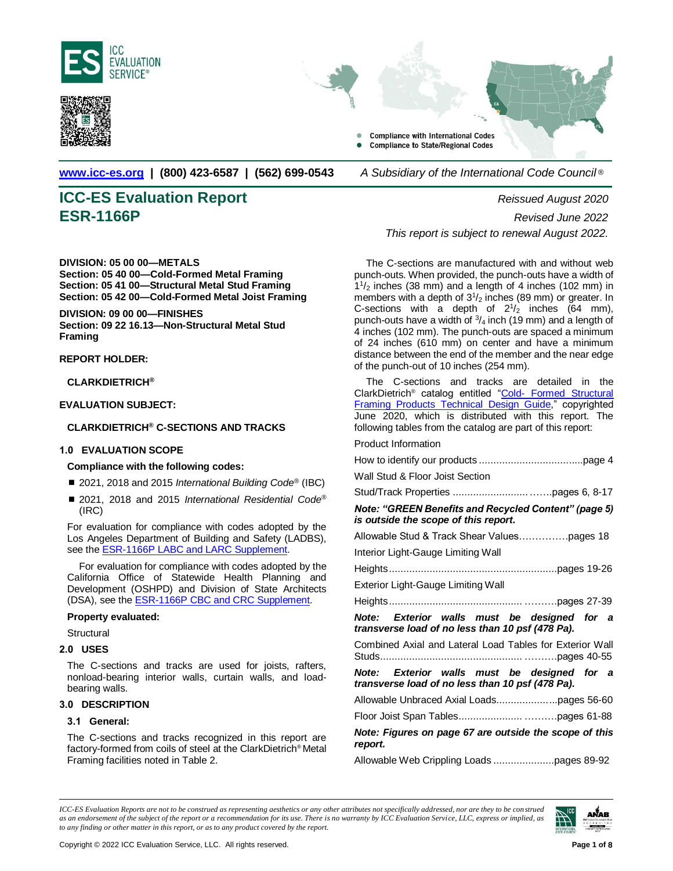

<span id="page-0-0"></span>



**[www.icc-es.org](http://www.icc-es.org/) | (800) 423-6587 | (562) 699-0543** *A Subsidiary of the International Code Council* ®

# **ICC-ES Evaluation Report** *Reissued August 2020*

**DIVISION: 05 00 00—METALS Section: 05 40 00—Cold-Formed Metal Framing Section: 05 41 00—Structural Metal Stud Framing Section: 05 42 00—Cold-Formed Metal Joist Framing** 

**DIVISION: 09 00 00—FINISHES Section: 09 22 16.13—Non-Structural Metal Stud Framing**

### **REPORT HOLDER:**

**CLARKDIETRICH®**

**EVALUATION SUBJECT:**

### **CLARKDIETRICH® C-SECTIONS AND TRACKS**

### **1.0 EVALUATION SCOPE**

### **Compliance with the following codes:**

- 2021, 2018 and 2015 *International Building Code®* (IBC)
- 2021, 2018 and 2015 *International Residential Code*<sup>®</sup> (IRC)

For evaluation for compliance with codes adopted by the Los Angeles Department of Building and Safety (LADBS), see the **ESR-1166P LABC and LARC Supplement**.

For evaluation for compliance with codes adopted by the California Office of Statewide Health Planning and Development (OSHPD) and Division of State Architects (DSA), see th[e ESR-1166P CBC](#page-0-0) and CRC Supplement.

### **Property evaluated:**

**Structural** 

### **2.0 USES**

The C-sections and tracks are used for joists, rafters, nonload-bearing interior walls, curtain walls, and loadbearing walls.

### **3.0 DESCRIPTION**

### **3.1 General:**

The C-sections and tracks recognized in this report are factory-formed from coils of steel at the ClarkDietrich® Metal Framing facilities noted in Table 2.

**ESR-1166P** *Revised June 2022 This report is subject to renewal August 2022.*

> The C-sections are manufactured with and without web punch-outs. When provided, the punch-outs have a width of 1 1 /<sup>2</sup> inches (38 mm) and a length of 4 inches (102 mm) in members with a depth of  $3^{1}/_{2}$  inches (89 mm) or greater. In C-sections with a depth of  $2\frac{1}{2}$  inches (64 mm), punch-outs have a width of  $\frac{3}{4}$  inch (19 mm) and a length of 4 inches (102 mm). The punch-outs are spaced a minimum of 24 inches (610 mm) on center and have a minimum distance between the end of the member and the near edge of the punch-out of 10 inches (254 mm).

> The C-sections and tracks are detailed in the ClarkDietrich<sup>®</sup> catalog entitled "Cold- Formed Structural [Framing Products Technical Design Guide,](https://icc-es.org/wp-content/uploads/report-directory/ESR-1166P-Plans.pdf)" copyrighted June 2020, which is distributed with this report. The following tables from the catalog are part of this report:

### Product Information

| Wall Stud & Floor Joist Section                                                                 |
|-------------------------------------------------------------------------------------------------|
|                                                                                                 |
| Note: "GREEN Benefits and Recycled Content" (page 5)<br>is outside the scope of this report.    |
| Allowable Stud & Track Shear Valuespages 18                                                     |
| Interior Light-Gauge Limiting Wall                                                              |
|                                                                                                 |
| Exterior Light-Gauge Limiting Wall                                                              |
|                                                                                                 |
|                                                                                                 |
| Note: Exterior walls must be designed for a<br>transverse load of no less than 10 psf (478 Pa). |
| Combined Axial and Lateral Load Tables for Exterior Wall                                        |
| Note: Exterior walls must be designed for a<br>transverse load of no less than 10 psf (478 Pa). |
| Allowable Unbraced Axial Loadspages 56-60                                                       |
|                                                                                                 |
| Note: Figures on page 67 are outside the scope of this<br>report.                               |

*ICC-ES Evaluation Reports are not to be construed as representing aesthetics or any other attributes not specifically addressed, nor are they to be construed as an endorsement of the subject of the report or a recommendation for its use. There is no warranty by ICC Evaluation Service, LLC, express or implied, as to any finding or other matter in this report, or as to any product covered by the report.*

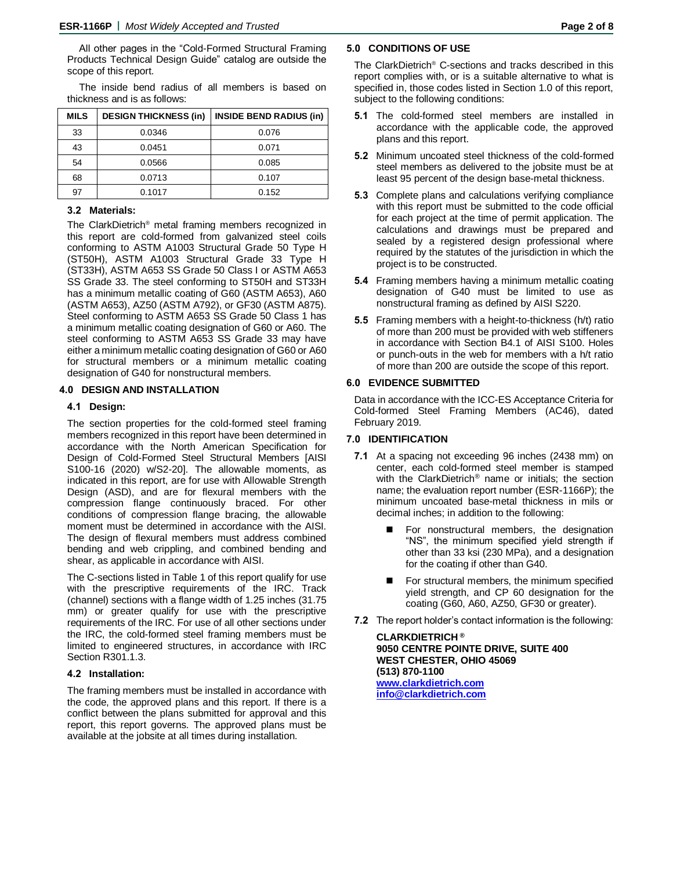All other pages in the "Cold-Formed Structural Framing Products Technical Design Guide" catalog are outside the scope of this report.

The inside bend radius of all members is based on thickness and is as follows:

| <b>MILS</b> | <b>DESIGN THICKNESS (in)</b> | <b>INSIDE BEND RADIUS (in)</b> |  |
|-------------|------------------------------|--------------------------------|--|
| 33          | 0.0346                       | 0.076                          |  |
| 43          | 0.0451                       | 0.071                          |  |
| 54          | 0.0566                       | 0.085                          |  |
| 68          | 0.0713                       | 0.107                          |  |
| 97          | 0.1017                       | 0.152                          |  |

### **3.2 Materials:**

The ClarkDietrich® metal framing members recognized in this report are cold-formed from galvanized steel coils conforming to ASTM A1003 Structural Grade 50 Type H (ST50H), ASTM A1003 Structural Grade 33 Type H (ST33H), ASTM A653 SS Grade 50 Class I or ASTM A653 SS Grade 33. The steel conforming to ST50H and ST33H has a minimum metallic coating of G60 (ASTM A653), A60 (ASTM A653), AZ50 (ASTM A792), or GF30 (ASTM A875). Steel conforming to ASTM A653 SS Grade 50 Class 1 has a minimum metallic coating designation of G60 or A60. The steel conforming to ASTM A653 SS Grade 33 may have either a minimum metallic coating designation of G60 or A60 for structural members or a minimum metallic coating designation of G40 for nonstructural members.

### **4.0 DESIGN AND INSTALLATION**

### **4.1 Design:**

The section properties for the cold-formed steel framing members recognized in this report have been determined in accordance with the North American Specification for Design of Cold-Formed Steel Structural Members [AISI S100-16 (2020) w/S2-20]. The allowable moments, as indicated in this report, are for use with Allowable Strength Design (ASD), and are for flexural members with the compression flange continuously braced. For other conditions of compression flange bracing, the allowable moment must be determined in accordance with the AISI. The design of flexural members must address combined bending and web crippling, and combined bending and shear, as applicable in accordance with AISI.

The C-sections listed in Table 1 of this report qualify for use with the prescriptive requirements of the IRC. Track (channel) sections with a flange width of 1.25 inches (31.75 mm) or greater qualify for use with the prescriptive requirements of the IRC. For use of all other sections under the IRC, the cold-formed steel framing members must be limited to engineered structures, in accordance with IRC Section R301.1.3.

### **4.2 Installation:**

The framing members must be installed in accordance with the code, the approved plans and this report. If there is a conflict between the plans submitted for approval and this report, this report governs. The approved plans must be available at the jobsite at all times during installation.

### **5.0 CONDITIONS OF USE**

The ClarkDietrich® C-sections and tracks described in this report complies with, or is a suitable alternative to what is specified in, those codes listed in Section 1.0 of this report, subject to the following conditions:

- **5.1** The cold-formed steel members are installed in accordance with the applicable code, the approved plans and this report.
- **5.2** Minimum uncoated steel thickness of the cold-formed steel members as delivered to the jobsite must be at least 95 percent of the design base-metal thickness.
- **5.3** Complete plans and calculations verifying compliance with this report must be submitted to the code official for each project at the time of permit application. The calculations and drawings must be prepared and sealed by a registered design professional where required by the statutes of the jurisdiction in which the project is to be constructed.
- **5.4** Framing members having a minimum metallic coating designation of G40 must be limited to use as nonstructural framing as defined by AISI S220.
- **5.5** Framing members with a height-to-thickness (h/t) ratio of more than 200 must be provided with web stiffeners in accordance with Section B4.1 of AISI S100. Holes or punch-outs in the web for members with a h/t ratio of more than 200 are outside the scope of this report.

### **6.0 EVIDENCE SUBMITTED**

Data in accordance with the ICC-ES Acceptance Criteria for Cold-formed Steel Framing Members (AC46), dated February 2019.

### **7.0 IDENTIFICATION**

- **7.1** At a spacing not exceeding 96 inches (2438 mm) on center, each cold-formed steel member is stamped with the ClarkDietrich® name or initials; the section name; the evaluation report number (ESR-1166P); the minimum uncoated base-metal thickness in mils or decimal inches; in addition to the following:
	- ◼ For nonstructural members, the designation "NS", the minimum specified yield strength if other than 33 ksi (230 MPa), and a designation for the coating if other than G40.
	- For structural members, the minimum specified yield strength, and CP 60 designation for the coating (G60, A60, AZ50, GF30 or greater).
- **7.2** The report holder's contact information is the following:

**CLARKDIETRICH ® 9050 CENTRE POINTE DRIVE, SUITE 400 WEST CHESTER, OHIO 45069 (513) 870-1100 [www.clarkdietrich.com](http://www.clarkdietrich.com/) [info@clarkdietrich.com](mailto:info@clarkdietrich.com?subject=ESR-1166)**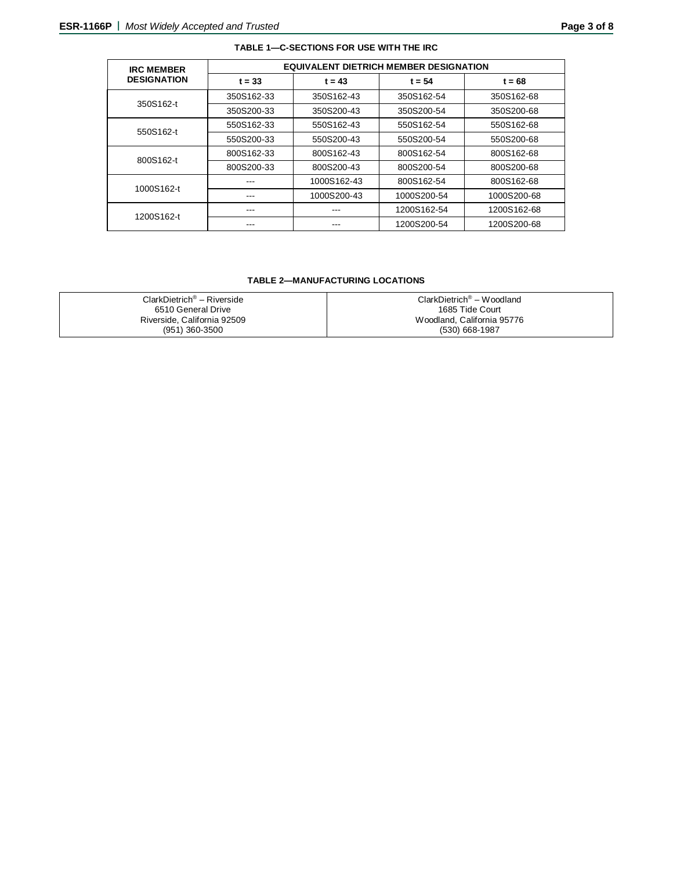| <b>IRC MEMBER</b>  | <b>EQUIVALENT DIETRICH MEMBER DESIGNATION</b> |             |             |             |
|--------------------|-----------------------------------------------|-------------|-------------|-------------|
| <b>DESIGNATION</b> | $t = 33$                                      | $t = 43$    | $t = 54$    | $t = 68$    |
| 350S162-t          | 350S162-33                                    | 350S162-43  | 350S162-54  | 350S162-68  |
|                    | 350S200-33                                    | 350S200-43  | 350S200-54  | 350S200-68  |
| 550S162-t          | 550S162-33                                    | 550S162-43  | 550S162-54  | 550S162-68  |
|                    | 550S200-33                                    | 550S200-43  | 550S200-54  | 550S200-68  |
| 800S162-t          | 800S162-33                                    | 800S162-43  | 800S162-54  | 800S162-68  |
|                    | 800S200-33                                    | 800S200-43  | 800S200-54  | 800S200-68  |
| 1000S162-t         |                                               | 1000S162-43 | 800S162-54  | 800S162-68  |
|                    |                                               | 1000S200-43 | 1000S200-54 | 1000S200-68 |
| 1200S162-t         | ---                                           | ---         | 1200S162-54 | 1200S162-68 |
|                    | ---                                           | ---         | 1200S200-54 | 1200S200-68 |

### **TABLE 2—MANUFACTURING LOCATIONS**

| $ClarkDietrich® - Riverside$ | $ClarkDietrich^{\otimes} - Woodland$ |
|------------------------------|--------------------------------------|
| 6510 General Drive           | 1685 Tide Court                      |
| Riverside, California 92509  | Woodland, California 95776           |
| (951) 360-3500               | $(530)$ 668-1987                     |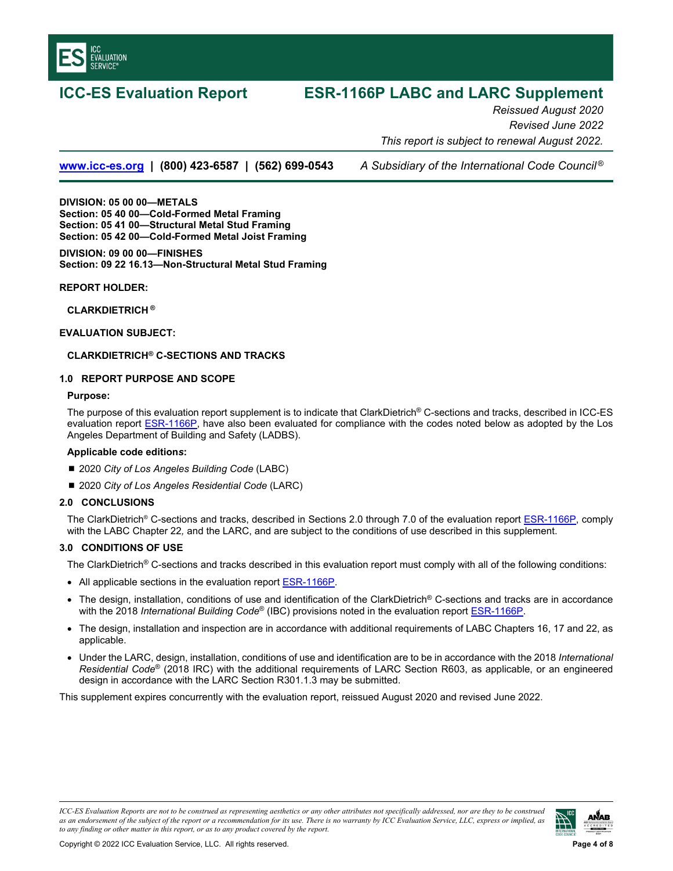

# **ICC-ES Evaluation Report ESR-1166P LABC and LARC Supplement**

*Reissued August 2020 Revised June 2022 This report is subject to renewal August 2022.* 

**www.icc-es.org | (800) 423-6587 | (562) 699-0543** *A Subsidiary of the International Code Council ®*

**DIVISION: 05 00 00—METALS Section: 05 40 00—Cold-Formed Metal Framing Section: 05 41 00—Structural Metal Stud Framing Section: 05 42 00—Cold-Formed Metal Joist Framing** 

### **DIVISION: 09 00 00—FINISHES Section: 09 22 16.13—Non-Structural Metal Stud Framing**

### **REPORT HOLDER:**

**CLARKDIETRICH ®** 

### **EVALUATION SUBJECT:**

### **CLARKDIETRICH® C-SECTIONS AND TRACKS**

### **1.0 REPORT PURPOSE AND SCOPE**

### **Purpose:**

The purpose of this evaluation report supplement is to indicate that ClarkDietrich® C-sections and tracks, described in ICC-ES evaluation report ESR-1166P, have also been evaluated for compliance with the codes noted below as adopted by the Los Angeles Department of Building and Safety (LADBS).

### **Applicable code edition***s***:**

- 2020 *City of Los Angeles Building Code* (LABC)
- 2020 *City of Los Angeles Residential Code* (LARC)

### **2.0 CONCLUSIONS**

The ClarkDietrich® C-sections and tracks, described in Sections 2.0 through 7.0 of the evaluation report ESR-1166P, comply with the LABC Chapter 22*,* and the LARC, and are subject to the conditions of use described in this supplement.

### **3.0 CONDITIONS OF USE**

The ClarkDietrich<sup>®</sup> C-sections and tracks described in this evaluation report must comply with all of the following conditions:

- All applicable sections in the evaluation report ESR-1166P.
- The design, installation, conditions of use and identification of the ClarkDietrich® C-sections and tracks are in accordance with the 2018 *International Building Code*® (IBC) provisions noted in the evaluation report ESR-1166P.
- The design, installation and inspection are in accordance with additional requirements of LABC Chapters 16, 17 and 22, as applicable.
- Under the LARC, design, installation, conditions of use and identification are to be in accordance with the 2018 *International Residential Code*® (2018 IRC) with the additional requirements of LARC Section R603, as applicable, or an engineered design in accordance with the LARC Section R301.1.3 may be submitted.

This supplement expires concurrently with the evaluation report, reissued August 2020 and revised June 2022.

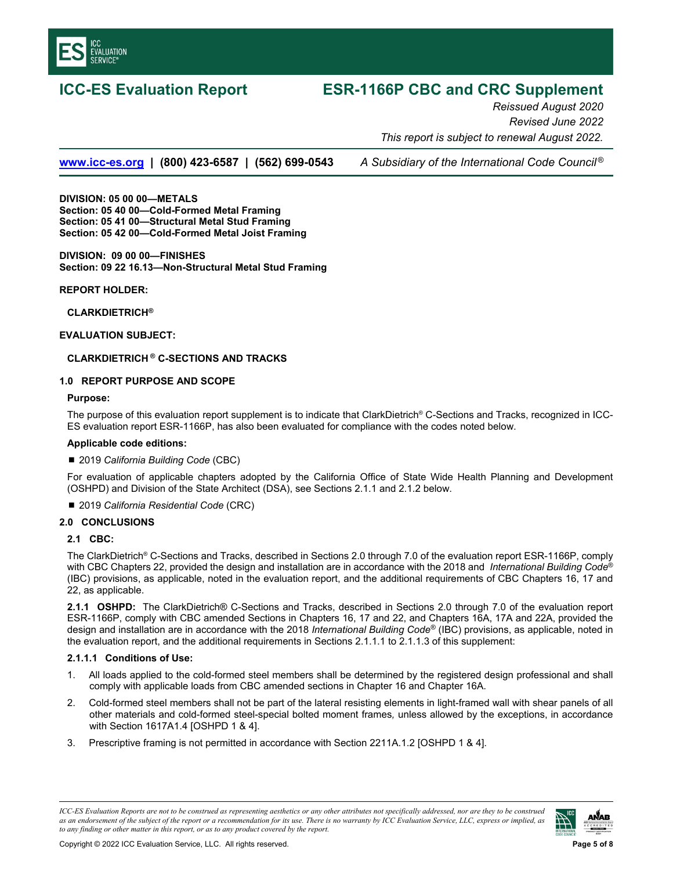

## **ICC-ES Evaluation Report ESR-1166P CBC and CRC Supplement**

*Reissued August 2020 Revised June 2022 This report is subject to renewal August 2022.* 

**www.icc-es.org | (800) 423-6587 | (562) 699-0543** *A Subsidiary of the International Code Council ®*

**DIVISION: 05 00 00—METALS Section: 05 40 00—Cold-Formed Metal Framing Section: 05 41 00—Structural Metal Stud Framing Section: 05 42 00—Cold-Formed Metal Joist Framing** 

**DIVISION: 09 00 00—FINISHES Section: 09 22 16.13—Non-Structural Metal Stud Framing** 

### **REPORT HOLDER:**

**CLARKDIETRICH®** 

### **EVALUATION SUBJECT:**

### **CLARKDIETRICH ® C-SECTIONS AND TRACKS**

### **1.0 REPORT PURPOSE AND SCOPE**

### **Purpose:**

The purpose of this evaluation report supplement is to indicate that ClarkDietrich® C-Sections and Tracks, recognized in ICC-ES evaluation report ESR-1166P, has also been evaluated for compliance with the codes noted below.

### **Applicable code editions:**

### ■ 2019 *California Building Code* (CBC)

For evaluation of applicable chapters adopted by the California Office of State Wide Health Planning and Development (OSHPD) and Division of the State Architect (DSA), see Sections 2.1.1 and 2.1.2 below.

### ■ 2019 *California Residential Code* (CRC)

### **2.0 CONCLUSIONS**

### **2.1 CBC:**

The ClarkDietrich® C-Sections and Tracks, described in Sections 2.0 through 7.0 of the evaluation report ESR-1166P, comply with CBC Chapters 22, provided the design and installation are in accordance with the 2018 and *International Building Code*® (IBC) provisions, as applicable, noted in the evaluation report, and the additional requirements of CBC Chapters 16, 17 and 22, as applicable.

**2.1.1 OSHPD:** The ClarkDietrich® C-Sections and Tracks, described in Sections 2.0 through 7.0 of the evaluation report ESR-1166P, comply with CBC amended Sections in Chapters 16, 17 and 22, and Chapters 16A, 17A and 22A, provided the design and installation are in accordance with the 2018 *International Building Code®* (IBC) provisions, as applicable, noted in the evaluation report, and the additional requirements in Sections 2.1.1.1 to 2.1.1.3 of this supplement:

### **2.1.1.1 Conditions of Use:**

- 1. All loads applied to the cold-formed steel members shall be determined by the registered design professional and shall comply with applicable loads from CBC amended sections in Chapter 16 and Chapter 16A.
- 2. Cold-formed steel members shall not be part of the lateral resisting elements in light-framed wall with shear panels of all other materials and cold-formed steel-special bolted moment frames*,* unless allowed by the exceptions, in accordance with Section 1617A1.4 [OSHPD 1 & 4].
- 3. Prescriptive framing is not permitted in accordance with Section 2211A.1.2 [OSHPD 1 & 4].

*ICC-ES Evaluation Reports are not to be construed as representing aesthetics or any other attributes not specifically addressed, nor are they to be construed as an endorsement of the subject of the report or a recommendation for its use. There is no warranty by ICC Evaluation Service, LLC, express or implied, as to any finding or other matter in this report, or as to any product covered by the report.*

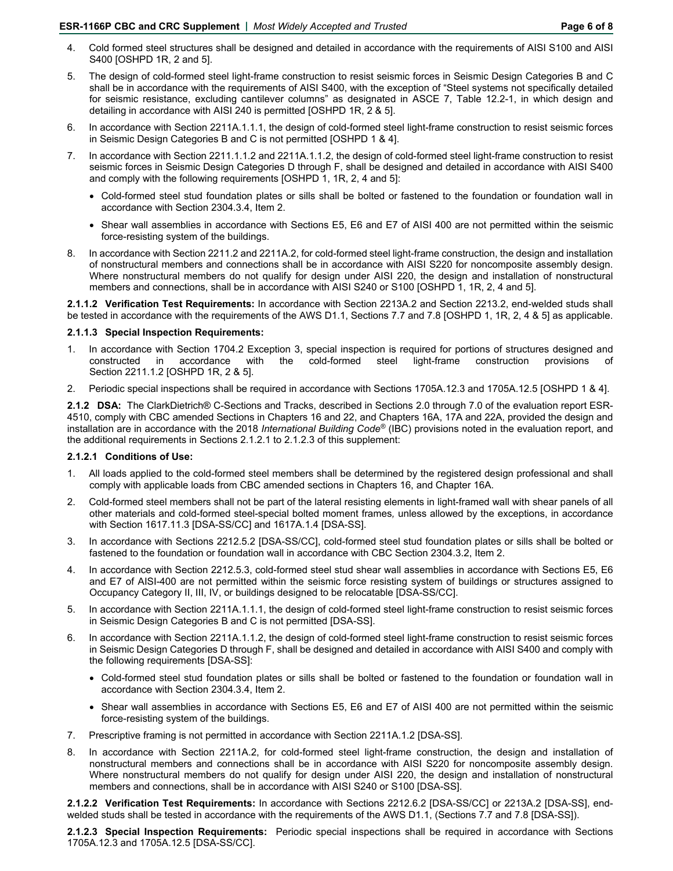- 4. Cold formed steel structures shall be designed and detailed in accordance with the requirements of AISI S100 and AISI S400 [OSHPD 1R, 2 and 5].
- 5. The design of cold-formed steel light-frame construction to resist seismic forces in Seismic Design Categories B and C shall be in accordance with the requirements of AISI S400, with the exception of "Steel systems not specifically detailed for seismic resistance, excluding cantilever columns" as designated in ASCE 7, Table 12.2-1, in which design and detailing in accordance with AISI 240 is permitted [OSHPD 1R, 2 & 5].
- 6. In accordance with Section 2211A.1.1.1, the design of cold-formed steel light-frame construction to resist seismic forces in Seismic Design Categories B and C is not permitted [OSHPD 1 & 4].
- 7. In accordance with Section 2211.1.1.2 and 2211A.1.1.2, the design of cold-formed steel light-frame construction to resist seismic forces in Seismic Design Categories D through F, shall be designed and detailed in accordance with AISI S400 and comply with the following requirements [OSHPD 1, 1R, 2, 4 and 5]:
	- Cold-formed steel stud foundation plates or sills shall be bolted or fastened to the foundation or foundation wall in accordance with Section 2304.3.4, Item 2.
	- Shear wall assemblies in accordance with Sections E5, E6 and E7 of AISI 400 are not permitted within the seismic force-resisting system of the buildings.
- 8. In accordance with Section 2211.2 and 2211A.2, for cold-formed steel light-frame construction, the design and installation of nonstructural members and connections shall be in accordance with AISI S220 for noncomposite assembly design. Where nonstructural members do not qualify for design under AISI 220, the design and installation of nonstructural members and connections, shall be in accordance with AISI S240 or S100 [OSHPD 1, 1R, 2, 4 and 5].

**2.1.1.2 Verification Test Requirements:** In accordance with Section 2213A.2 and Section 2213.2, end-welded studs shall be tested in accordance with the requirements of the AWS D1.1, Sections 7.7 and 7.8 [OSHPD 1, 1R, 2, 4 & 5] as applicable.

### **2.1.1.3 Special Inspection Requirements:**

- 1. In accordance with Section 1704.2 Exception 3, special inspection is required for portions of structures designed and constructed in accordance with the cold-formed steel light-frame construction provisions of Section 2211.1.2 [OSHPD 1R, 2 & 5].
- 2. Periodic special inspections shall be required in accordance with Sections 1705A.12.3 and 1705A.12.5 [OSHPD 1 & 4].

**2.1.2 DSA:** The ClarkDietrich® C-Sections and Tracks, described in Sections 2.0 through 7.0 of the evaluation report ESR-4510, comply with CBC amended Sections in Chapters 16 and 22, and Chapters 16A, 17A and 22A, provided the design and installation are in accordance with the 2018 *International Building Code®* (IBC) provisions noted in the evaluation report, and the additional requirements in Sections 2.1.2.1 to 2.1.2.3 of this supplement:

### **2.1.2.1 Conditions of Use:**

- 1. All loads applied to the cold-formed steel members shall be determined by the registered design professional and shall comply with applicable loads from CBC amended sections in Chapters 16, and Chapter 16A.
- 2. Cold-formed steel members shall not be part of the lateral resisting elements in light-framed wall with shear panels of all other materials and cold-formed steel-special bolted moment frames*,* unless allowed by the exceptions, in accordance with Section 1617.11.3 [DSA-SS/CC] and 1617A.1.4 [DSA-SS].
- 3. In accordance with Sections 2212.5.2 [DSA-SS/CC], cold-formed steel stud foundation plates or sills shall be bolted or fastened to the foundation or foundation wall in accordance with CBC Section 2304.3.2, Item 2.
- 4. In accordance with Section 2212.5.3, cold-formed steel stud shear wall assemblies in accordance with Sections E5, E6 and E7 of AISI-400 are not permitted within the seismic force resisting system of buildings or structures assigned to Occupancy Category II, III, IV, or buildings designed to be relocatable [DSA-SS/CC].
- 5. In accordance with Section 2211A.1.1.1, the design of cold-formed steel light-frame construction to resist seismic forces in Seismic Design Categories B and C is not permitted [DSA-SS].
- 6. In accordance with Section 2211A.1.1.2, the design of cold-formed steel light-frame construction to resist seismic forces in Seismic Design Categories D through F, shall be designed and detailed in accordance with AISI S400 and comply with the following requirements [DSA-SS]:
	- Cold-formed steel stud foundation plates or sills shall be bolted or fastened to the foundation or foundation wall in accordance with Section 2304.3.4, Item 2.
	- Shear wall assemblies in accordance with Sections E5, E6 and E7 of AISI 400 are not permitted within the seismic force-resisting system of the buildings.
- 7. Prescriptive framing is not permitted in accordance with Section 2211A.1.2 [DSA-SS].
- 8. In accordance with Section 2211A.2, for cold-formed steel light-frame construction, the design and installation of nonstructural members and connections shall be in accordance with AISI S220 for noncomposite assembly design. Where nonstructural members do not qualify for design under AISI 220, the design and installation of nonstructural members and connections, shall be in accordance with AISI S240 or S100 [DSA-SS].

**2.1.2.2 Verification Test Requirements:** In accordance with Sections 2212.6.2 [DSA-SS/CC] or 2213A.2 [DSA-SS], endwelded studs shall be tested in accordance with the requirements of the AWS D1.1, (Sections 7.7 and 7.8 [DSA-SS]).

**2.1.2.3 Special Inspection Requirements:** Periodic special inspections shall be required in accordance with Sections 1705A.12.3 and 1705A.12.5 [DSA-SS/CC].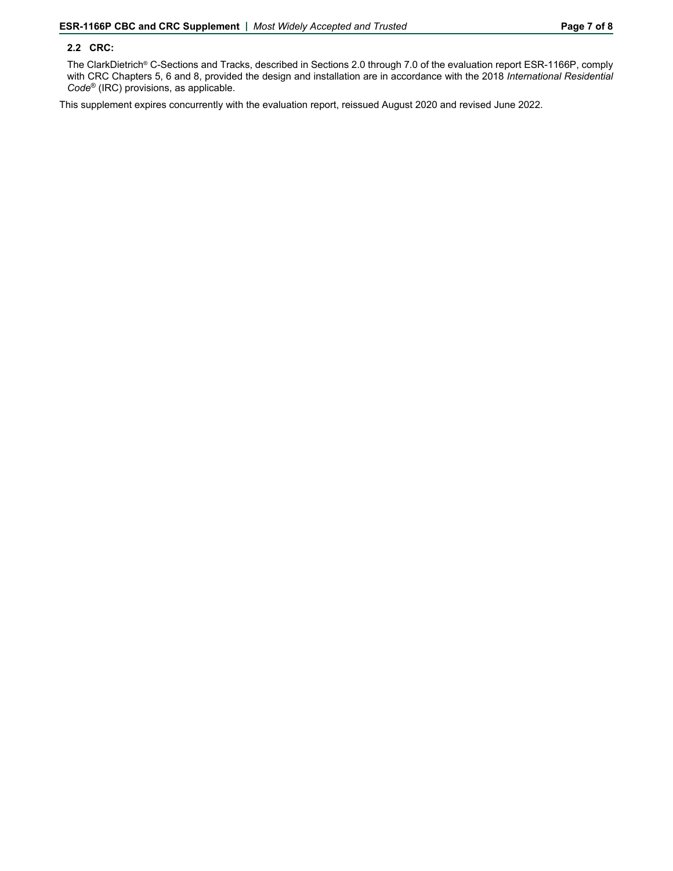### **2.2 CRC:**

The ClarkDietrich® C-Sections and Tracks, described in Sections 2.0 through 7.0 of the evaluation report ESR-1166P, comply with CRC Chapters 5, 6 and 8, provided the design and installation are in accordance with the 2018 *International Residential Code*® (IRC) provisions, as applicable.

This supplement expires concurrently with the evaluation report, reissued August 2020 and revised June 2022.